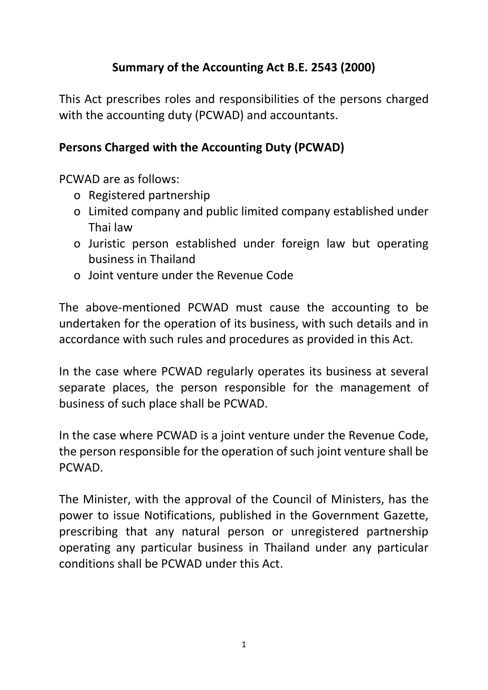# **Summary of the Accounting Act B.E. 2543 (2000)**

This Act prescribes roles and responsibilities of the persons charged with the accounting duty (PCWAD) and accountants.

## **Persons Charged with the Accounting Duty (PCWAD)**

PCWAD are as follows:

- o Registered partnership
- o Limited company and public limited company established under Thai law
- o Juristic person established under foreign law but operating business in Thailand
- o Joint venture under the Revenue Code

The above-mentioned PCWAD must cause the accounting to be undertaken for the operation of its business, with such details and in accordance with such rules and procedures as provided in this Act.

In the case where PCWAD regularly operates its business at several separate places, the person responsible for the management of business of such place shall be PCWAD.

In the case where PCWAD is a joint venture under the Revenue Code, the person responsible for the operation of such joint venture shall be PCWAD.

The Minister, with the approval of the Council of Ministers, has the power to issue Notifications, published in the Government Gazette, prescribing that any natural person or unregistered partnership operating any particular business in Thailand under any particular conditions shall be PCWAD under this Act.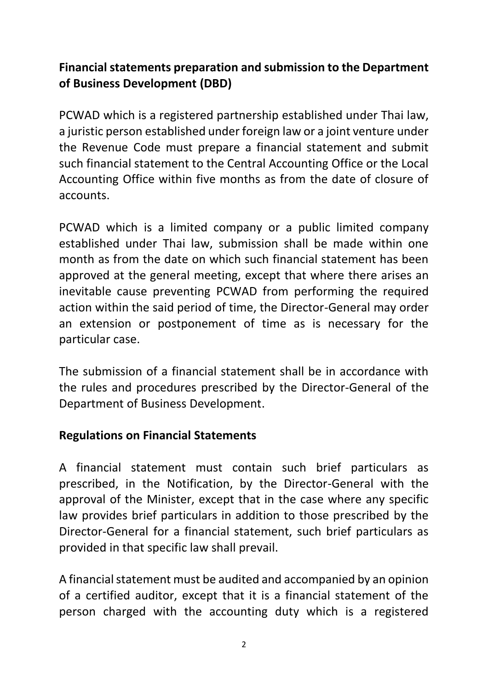# **Financial statements preparation and submission to the Department of Business Development (DBD)**

PCWAD which is a registered partnership established under Thai law, a juristic person established under foreign law or a joint venture under the Revenue Code must prepare a financial statement and submit such financial statement to the Central Accounting Office or the Local Accounting Office within five months as from the date of closure of accounts.

PCWAD which is a limited company or a public limited company established under Thai law, submission shall be made within one month as from the date on which such financial statement has been approved at the general meeting, except that where there arises an inevitable cause preventing PCWAD from performing the required action within the said period of time, the Director-General may order an extension or postponement of time as is necessary for the particular case.

The submission of a financial statement shall be in accordance with the rules and procedures prescribed by the Director-General of the Department of Business Development.

## **Regulations on Financial Statements**

A financial statement must contain such brief particulars as prescribed, in the Notification, by the Director-General with the approval of the Minister, except that in the case where any specific law provides brief particulars in addition to those prescribed by the Director-General for a financial statement, such brief particulars as provided in that specific law shall prevail.

A financial statement must be audited and accompanied by an opinion of a certified auditor, except that it is a financial statement of the person charged with the accounting duty which is a registered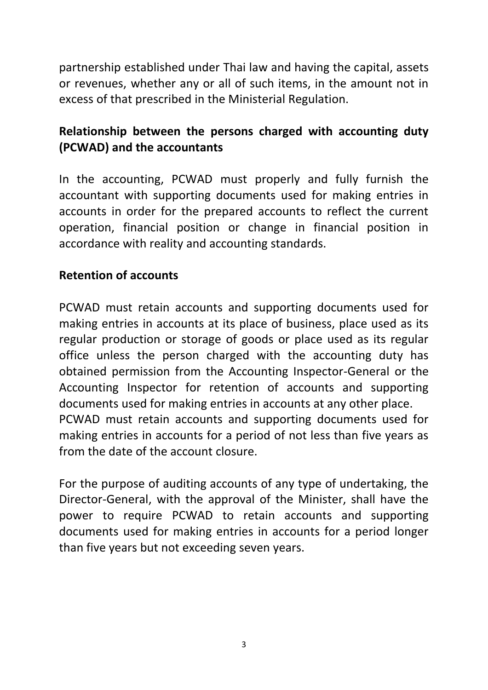partnership established under Thai law and having the capital, assets or revenues, whether any or all of such items, in the amount not in excess of that prescribed in the Ministerial Regulation.

# **Relationship between the persons charged with accounting duty (PCWAD) and the accountants**

In the accounting, PCWAD must properly and fully furnish the accountant with supporting documents used for making entries in accounts in order for the prepared accounts to reflect the current operation, financial position or change in financial position in accordance with reality and accounting standards.

### **Retention of accounts**

PCWAD must retain accounts and supporting documents used for making entries in accounts at its place of business, place used as its regular production or storage of goods or place used as its regular office unless the person charged with the accounting duty has obtained permission from the Accounting Inspector-General or the Accounting Inspector for retention of accounts and supporting documents used for making entries in accounts at any other place. PCWAD must retain accounts and supporting documents used for making entries in accounts for a period of not less than five years as from the date of the account closure.

For the purpose of auditing accounts of any type of undertaking, the Director-General, with the approval of the Minister, shall have the power to require PCWAD to retain accounts and supporting documents used for making entries in accounts for a period longer than five years but not exceeding seven years.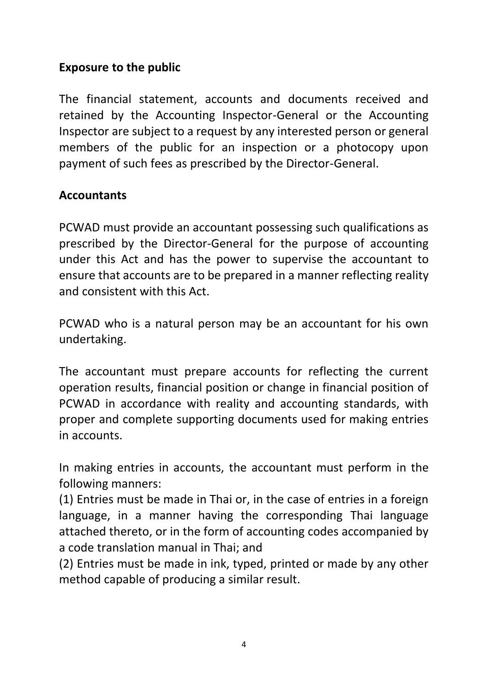### **Exposure to the public**

The financial statement, accounts and documents received and retained by the Accounting Inspector-General or the Accounting Inspector are subject to a request by any interested person or general members of the public for an inspection or a photocopy upon payment of such fees as prescribed by the Director-General.

#### **Accountants**

PCWAD must provide an accountant possessing such qualifications as prescribed by the Director-General for the purpose of accounting under this Act and has the power to supervise the accountant to ensure that accounts are to be prepared in a manner reflecting reality and consistent with this Act.

PCWAD who is a natural person may be an accountant for his own undertaking.

The accountant must prepare accounts for reflecting the current operation results, financial position or change in financial position of PCWAD in accordance with reality and accounting standards, with proper and complete supporting documents used for making entries in accounts.

In making entries in accounts, the accountant must perform in the following manners:

(1) Entries must be made in Thai or, in the case of entries in a foreign language, in a manner having the corresponding Thai language attached thereto, or in the form of accounting codes accompanied by a code translation manual in Thai; and

(2) Entries must be made in ink, typed, printed or made by any other method capable of producing a similar result.